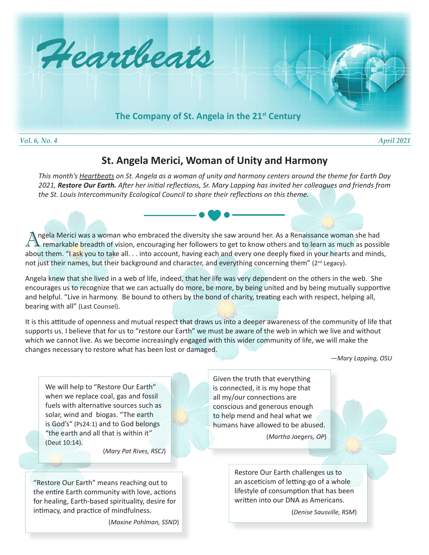

## **St. Angela Merici, Woman of Unity and Harmony**

*This month's Heartbeats on St. Angela as a woman of unity and harmony centers around the theme for Earth Day 2021, Restore Our Earth. After her initial reflections, Sr. Mary Lapping has invited her colleagues and friends from the St. Louis Intercommunity Ecological Council to share their reflections on this theme.* 

Angela Merici was a woman who embraced the diversity she saw around her. As a Renaissance woman she had<br>A remarkable breadth of vision, encouraging her followers to get to know others and to learn as much as possil remarkable breadth of vision, encouraging her followers to get to know others and to learn as much as possible about them. "I ask you to take all. . . into account, having each and every one deeply fixed in your hearts and minds, not just their names, but their background and character, and everything concerning them" (2<sup>nd</sup> Legacy).

Angela knew that she lived in a web of life, indeed, that her life was very dependent on the others in the web. She encourages us to recognize that we can actually do more, be more, by being united and by being mutually supportive and helpful. "Live in harmony. Be bound to others by the bond of charity, treating each with respect, helping all, bearing with all" (Last Counsel).

It is this attitude of openness and mutual respect that draws us into a deeper awareness of the community of life that supports us. I believe that for us to "restore our Earth" we must be aware of the web in which we live and without which we cannot live. As we become increasingly engaged with this wider community of life, we will make the changes necessary to restore what has been lost or damaged.

*—Mary Lapping, OSU*

We will help to "Restore Our Earth" when we replace coal, gas and fossil fuels with alternative sources such as solar, wind and biogas. "The earth is God's" (Ps24:1) and to God belongs "the earth and all that is within it" (Deut 10:14).

(*Mary Pat Rives, RSCJ*)

"Restore Our Earth" means reaching out to the entire Earth community with love, actions for healing, Earth-based spirituality, desire for intimacy, and practice of mindfulness.

(*Maxine Pohlman, SSND*)

Given the truth that everything is connected, it is my hope that all my/our connections are conscious and generous enough to help mend and heal what we humans have allowed to be abused.

(*Martha Jaegers, OP*)

Restore Our Earth challenges us to an asceticism of letting-go of a whole lifestyle of consumption that has been written into our DNA as Americans.

(*Denise Sausville, RSM*)